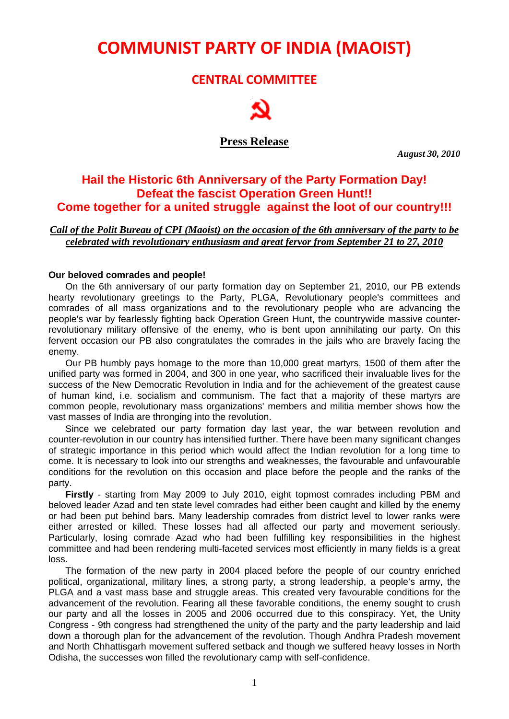# **COMMUNIST PARTY OF INDIA (MAOIST)**

### **CENTRAL COMMITTEE**



**Press Release**

 *August 30, 2010* 

## **Hail the Historic 6th Anniversary of the Party Formation Day! Defeat the fascist Operation Green Hunt!! Come together for a united struggle against the loot of our country!!!**

*Call of the Polit Bureau of CPI (Maoist) on the occasion of the 6th anniversary of the party to be celebrated with revolutionary enthusiasm and great fervor from September 21 to 27, 2010*

#### **Our beloved comrades and people!**

On the 6th anniversary of our party formation day on September 21, 2010, our PB extends hearty revolutionary greetings to the Party, PLGA, Revolutionary people's committees and comrades of all mass organizations and to the revolutionary people who are advancing the people's war by fearlessly fighting back Operation Green Hunt, the countrywide massive counterrevolutionary military offensive of the enemy, who is bent upon annihilating our party. On this fervent occasion our PB also congratulates the comrades in the jails who are bravely facing the enemy.

Our PB humbly pays homage to the more than 10,000 great martyrs, 1500 of them after the unified party was formed in 2004, and 300 in one year, who sacrificed their invaluable lives for the success of the New Democratic Revolution in India and for the achievement of the greatest cause of human kind, i.e. socialism and communism. The fact that a majority of these martyrs are common people, revolutionary mass organizations' members and militia member shows how the vast masses of India are thronging into the revolution.

Since we celebrated our party formation day last year, the war between revolution and counter-revolution in our country has intensified further. There have been many significant changes of strategic importance in this period which would affect the Indian revolution for a long time to come. It is necessary to look into our strengths and weaknesses, the favourable and unfavourable conditions for the revolution on this occasion and place before the people and the ranks of the party.

**Firstly** - starting from May 2009 to July 2010, eight topmost comrades including PBM and beloved leader Azad and ten state level comrades had either been caught and killed by the enemy or had been put behind bars. Many leadership comrades from district level to lower ranks were either arrested or killed. These losses had all affected our party and movement seriously. Particularly, losing comrade Azad who had been fulfilling key responsibilities in the highest committee and had been rendering multi-faceted services most efficiently in many fields is a great loss.

The formation of the new party in 2004 placed before the people of our country enriched political, organizational, military lines, a strong party, a strong leadership, a people's army, the PLGA and a vast mass base and struggle areas. This created very favourable conditions for the advancement of the revolution. Fearing all these favorable conditions, the enemy sought to crush our party and all the losses in 2005 and 2006 occurred due to this conspiracy. Yet, the Unity Congress - 9th congress had strengthened the unity of the party and the party leadership and laid down a thorough plan for the advancement of the revolution. Though Andhra Pradesh movement and North Chhattisgarh movement suffered setback and though we suffered heavy losses in North Odisha, the successes won filled the revolutionary camp with self-confidence.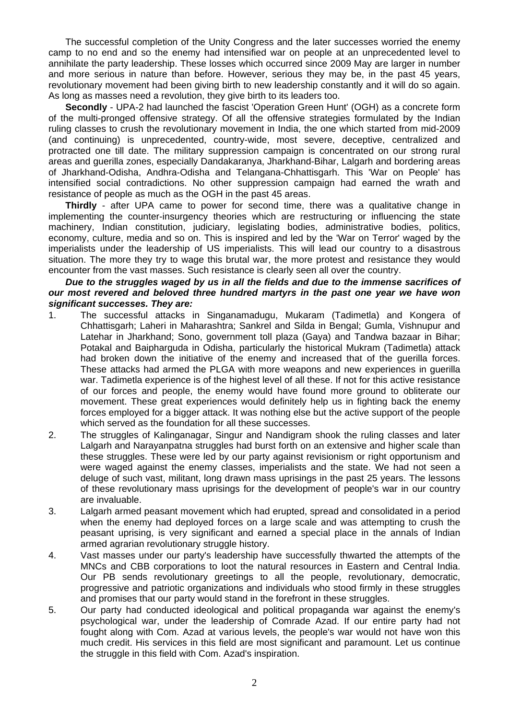The successful completion of the Unity Congress and the later successes worried the enemy camp to no end and so the enemy had intensified war on people at an unprecedented level to annihilate the party leadership. These losses which occurred since 2009 May are larger in number and more serious in nature than before. However, serious they may be, in the past 45 years, revolutionary movement had been giving birth to new leadership constantly and it will do so again. As long as masses need a revolution, they give birth to its leaders too.

**Secondly** - UPA-2 had launched the fascist 'Operation Green Hunt' (OGH) as a concrete form of the multi-pronged offensive strategy. Of all the offensive strategies formulated by the Indian ruling classes to crush the revolutionary movement in India, the one which started from mid-2009 (and continuing) is unprecedented, country-wide, most severe, deceptive, centralized and protracted one till date. The military suppression campaign is concentrated on our strong rural areas and guerilla zones, especially Dandakaranya, Jharkhand-Bihar, Lalgarh and bordering areas of Jharkhand-Odisha, Andhra-Odisha and Telangana-Chhattisgarh. This 'War on People' has intensified social contradictions. No other suppression campaign had earned the wrath and resistance of people as much as the OGH in the past 45 areas.

**Thirdly** - after UPA came to power for second time, there was a qualitative change in implementing the counter-insurgency theories which are restructuring or influencing the state machinery, Indian constitution, judiciary, legislating bodies, administrative bodies, politics, economy, culture, media and so on. This is inspired and led by the 'War on Terror' waged by the imperialists under the leadership of US imperialists. This will lead our country to a disastrous situation. The more they try to wage this brutal war, the more protest and resistance they would encounter from the vast masses. Such resistance is clearly seen all over the country.

#### *Due to the struggles waged by us in all the fields and due to the immense sacrifices of our most revered and beloved three hundred martyrs in the past one year we have won significant successes. They are:*

- 1. The successful attacks in Singanamadugu, Mukaram (Tadimetla) and Kongera of Chhattisgarh; Laheri in Maharashtra; Sankrel and Silda in Bengal; Gumla, Vishnupur and Latehar in Jharkhand; Sono, government toll plaza (Gaya) and Tandwa bazaar in Bihar; Potakal and Baipharguda in Odisha, particularly the historical Mukram (Tadimetla) attack had broken down the initiative of the enemy and increased that of the guerilla forces. These attacks had armed the PLGA with more weapons and new experiences in guerilla war. Tadimetla experience is of the highest level of all these. If not for this active resistance of our forces and people, the enemy would have found more ground to obliterate our movement. These great experiences would definitely help us in fighting back the enemy forces employed for a bigger attack. It was nothing else but the active support of the people which served as the foundation for all these successes.
- 2. The struggles of Kalinganagar, Singur and Nandigram shook the ruling classes and later Lalgarh and Narayanpatna struggles had burst forth on an extensive and higher scale than these struggles. These were led by our party against revisionism or right opportunism and were waged against the enemy classes, imperialists and the state. We had not seen a deluge of such vast, militant, long drawn mass uprisings in the past 25 years. The lessons of these revolutionary mass uprisings for the development of people's war in our country are invaluable.
- 3. Lalgarh armed peasant movement which had erupted, spread and consolidated in a period when the enemy had deployed forces on a large scale and was attempting to crush the peasant uprising, is very significant and earned a special place in the annals of Indian armed agrarian revolutionary struggle history.
- 4. Vast masses under our party's leadership have successfully thwarted the attempts of the MNCs and CBB corporations to loot the natural resources in Eastern and Central India. Our PB sends revolutionary greetings to all the people, revolutionary, democratic, progressive and patriotic organizations and individuals who stood firmly in these struggles and promises that our party would stand in the forefront in these struggles.
- 5. Our party had conducted ideological and political propaganda war against the enemy's psychological war, under the leadership of Comrade Azad. If our entire party had not fought along with Com. Azad at various levels, the people's war would not have won this much credit. His services in this field are most significant and paramount. Let us continue the struggle in this field with Com. Azad's inspiration.